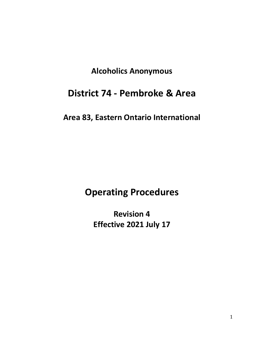# **Alcoholics Anonymous**

# **District 74 - Pembroke & Area**

**Area 83, Eastern Ontario International**

**Operating Procedures**

**Revision 4 Effective 2021 July 17**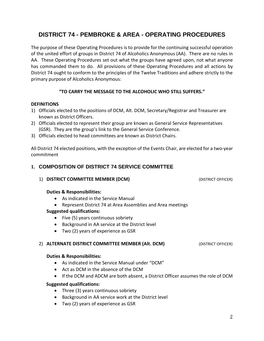# **DISTRICT 74 - PEMBROKE & AREA - OPERATING PROCEDURES**

The purpose of these Operating Procedures is to provide for the continuing successful operation of the united effort of groups in District 74 of Alcoholics Anonymous (AA). There are no rules in AA. These Operating Procedures set out what the groups have agreed upon, not what anyone has commanded them to do. All provisions of these Operating Procedures and all actions by District 74 ought to conform to the principles of the Twelve Traditions and adhere strictly to the primary purpose of Alcoholics Anonymous:

## **"TO CARRY THE MESSAGE TO THE ALCOHOLIC WHO STILL SUFFERS."**

## **DEFINITIONS**

- 1) Officials elected to the positions of DCM, Alt. DCM, Secretary/Registrar and Treasurer are known as District Officers.
- 2) Officials elected to represent their group are known as General Service Representatives (GSR). They are the group's link to the General Service Conference.
- 3) Officials elected to head committees are known as District Chairs.

All District 74 elected positions, with the exception of the Events Chair, are elected for a two-year commitment

# **1. COMPOSITION OF DISTRICT 74 SERVICE COMMITTEE**

# 1) **DISTRICT COMMITTEE MEMBER (DCM)** (DISTRICT OFFICER)

#### **Duties & Responsibilities:**

- As indicated in the Service Manual
- Represent District 74 at Area Assemblies and Area meetings

#### **Suggested qualifications:**

- Five (5) years continuous sobriety
- Background in AA service at the District level
- Two (2) years of experience as GSR

#### 2) **ALTERNATE DISTRICT COMMITTEE MEMBER (Alt. DCM)** (DISTRICT OFFICER)

#### **Duties & Responsibilities:**

- As indicated in the Service Manual under "DCM"
- Act as DCM in the absence of the DCM
- If the DCM and ADCM are both absent, a District Officer assumes the role of DCM

#### **Suggested qualifications:**

- Three (3) years continuous sobriety
- Background in AA service work at the District level
- Two (2) years of experience as GSR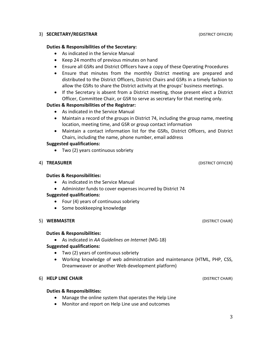# 3

#### 3) **SECRETARY/REGISTRAR** (DISTRICT OFFICER)

#### **Duties & Responsibilities of the Secretary:**

- As indicated in the Service Manual
- Keep 24 months of previous minutes on hand
- Ensure all GSRs and District Officers have a copy of these Operating Procedures
- Ensure that minutes from the monthly District meeting are prepared and distributed to the District Officers, District Chairs and GSRs in a timely fashion to allow the GSRs to share the District activity at the groups' business meetings.
- If the Secretary is absent from a District meeting, those present elect a District Officer, Committee Chair, or GSR to serve as secretary for that meeting only.

# **Duties & Responsibilities of the Registrar:**

- As indicated in the Service Manual
- Maintain a record of the groups in District 74, including the group name, meeting location, meeting time, and GSR or group contact information
- Maintain a contact information list for the GSRs, District Officers, and District Chairs, including the name, phone number, email address

#### **Suggested qualifications:**

• Two (2) years continuous sobriety

## 4) **TREASURER** (DISTRICT OFFICER)

#### **Duties & Responsibilities:**

- As indicated in the Service Manual
- Administer funds to cover expenses incurred by District 74

# **Suggested qualifications:**

- Four (4) years of continuous sobriety
- Some bookkeeping knowledge

#### 5) **WEBMASTER** (DISTRICT CHAIR)

#### **Duties & Responsibilities:**

• As indicated in *AA Guidelines on Internet* (MG-18)

# **Suggested qualifications:**

- Two (2) years of continuous sobriety
- Working knowledge of web administration and maintenance (HTML, PHP, CSS, Dreamweaver or another Web development platform)

#### 6) **HELP LINE CHAIR** (DISTRICT CHAIR)

#### **Duties & Responsibilities:**

- Manage the online system that operates the Help Line
- Monitor and report on Help Line use and outcomes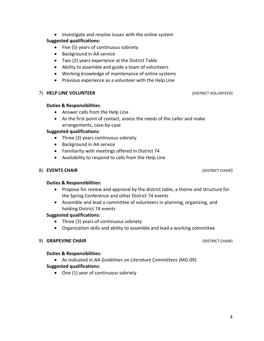• Investigate and resolve issues with the online system

## **Suggested qualifications:**

- Five (5) years of continuous sobriety
- Background in AA service
- Two (2) years experience at the District Table
- Ability to assemble and guide a team of volunteers
- Working knowledge of maintenance of online systems
- Previous experience as a volunteer with the Help Line

#### 7) **HELP LINE VOLUNTEER** (DISTRICT VOLUNTEER)

#### **Duties & Responsibilities**:

- Answer calls from the Help Line
- As the first point of contact, assess the needs of the caller and make arrangements, case-by-case

#### **Suggested qualifications**:

- Three (3) years continuous sobriety
- Background in AA service
- Familiarity with meetings offered in District 74
- Availability to respond to calls from the Help Line

#### 8) **EVENTS CHAIR** (DISTRICT CHAIR)

#### **Duties & Responsibilities:**

- Propose for review and approval by the district table, a theme and structure for the Spring Conference and other District 74 events
- Assemble and lead a committee of volunteers in planning, organizing, and holding District 74 events

#### **Suggested qualifications:**

- Three (3) years of continuous sobriety
- Organization skills and ability to assemble and lead a working committee

#### 9) **GRAPEVINE CHAIR** (DISTRICT CHAIR)

#### **Duties & Responsibilities:**

- As indicated in *AA Guidelines on Literature Committees* (MG-09) **Suggested qualifications:**
	- One (1) year of continuous sobriety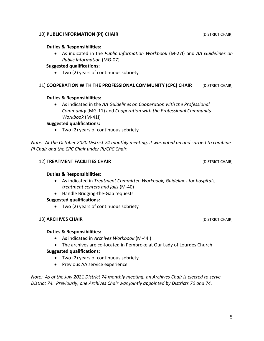#### 10) **PUBLIC INFORMATION (PI) CHAIR** (DISTRICT CHAIR)

#### **Duties & Responsibilities:**

• As indicated in the *Public Information Workbook* (M-27I) and *AA Guidelines on Public Information* (MG-07)

#### **Suggested qualifications:**

• Two (2) years of continuous sobriety

# 11) **COOPERATION WITH THE PROFESSIONAL COMMUNITY (CPC) CHAIR** (DISTRICT CHAIR)

# **Duties & Responsibilities:**

• As indicated in the *AA Guidelines on Cooperation with the Professional Community* (MG-11) and *Cooperation with the Professional Community Workbook* (M-41I)

# **Suggested qualifications:**

• Two (2) years of continuous sobriety

*Note: At the October 2020 District 74 monthly meeting, it was voted on and carried to combine PI Chair and the CPC Chair under PI/CPC Chair.*

# 12) **TREATMENT FACILITIES CHAIR** (DISTRICT CHAIR)

# **Duties & Responsibilities:**

- As indicated in *Treatment Committee Workbook, Guidelines for hospitals, treatment centers and jails* (M-40)
- Handle Bridging-the-Gap requests

# **Suggested qualifications:**

• Two (2) years of continuous sobriety

# 13) **ARCHIVES CHAIR** (DISTRICT CHAIR)

# **Duties & Responsibilities:**

- As indicated in *Archives Workbook* (M-44i)
- The archives are co-located in Pembroke at Our Lady of Lourdes Church

# **Suggested qualifications:**

- Two (2) years of continuous sobriety
- Previous AA service experience

*Note: As of the July 2021 District 74 monthly meeting, an Archives Chair is elected to serve District 74. Previously, one Archives Chair was jointly appointed by Districts 70 and 74.*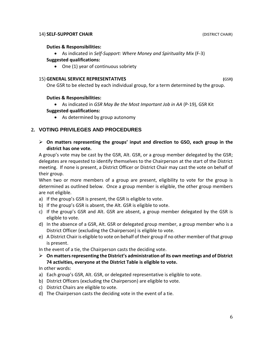#### 14) **SELF-SUPPORT CHAIR** (DISTRICT CHAIR)

#### **Duties & Responsibilities:**

- As indicated in *Self-Support: Where Money and Spirituality Mix* (F-3) **Suggested qualifications:**
	- One (1) year of continuous sobriety

#### 15) **GENERAL SERVICE REPRESENTATIVES (**GSR**)**

One GSR to be elected by each individual group, for a term determined by the group.

#### **Duties & Responsibilities:**

- As indicated in *GSR May Be the Most Important Job in AA* (P-19), GSR Kit **Suggested qualifications:**
	- As determined by group autonomy

# **2. VOTING PRIVILEGES AND PROCEDURES**

➢ **On matters representing the groups' input and direction to GSO, each group in the district has one vote.**

A group's vote may be cast by the GSR, Alt. GSR, or a group member delegated by the GSR; delegates are requested to identify themselves to the Chairperson at the start of the District meeting. If none is present, a District Officer or District Chair may cast the vote on behalf of their group.

When two or more members of a group are present, eligibility to vote for the group is determined as outlined below. Once a group member is eligible, the other group members are not eligible.

- a) If the group's GSR is present, the GSR is eligible to vote.
- b) If the group's GSR is absent, the Alt. GSR is eligible to vote.
- c) If the group's GSR and Alt. GSR are absent, a group member delegated by the GSR is eligible to vote.
- d) In the absence of a GSR, Alt. GSR or delegated group member, a group member who is a District Officer (excluding the Chairperson) is eligible to vote.
- e) A District Chair is eligible to vote on behalf of their group if no other member of that group is present.

In the event of a tie, the Chairperson casts the deciding vote.

➢ **On matters representing the District's administration of its own meetings and of District 74 activities, everyone at the District Table is eligible to vote.**

In other words:

- a) Each group's GSR, Alt. GSR, or delegated representative is eligible to vote.
- b) District Officers (excluding the Chairperson) are eligible to vote.
- c) District Chairs are eligible to vote.
- d) The Chairperson casts the deciding vote in the event of a tie.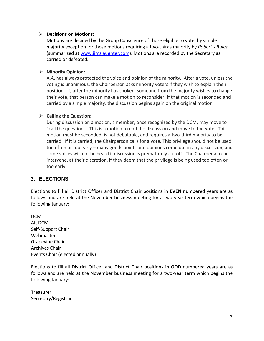#### ➢ **Decisions on Motions:**

Motions are decided by the Group Conscience of those eligible to vote, by simple majority exception for those motions requiring a two-thirds majority by *Robert's Rules* (summarized at [www.jimslaughter.com\)](http://www.jimslaughter.com/). Motions are recorded by the Secretary as carried or defeated.

## ➢ **Minority Opinion:**

A.A. has always protected the voice and opinion of the minority. After a vote, unless the voting is unanimous, the Chairperson asks minority voters if they wish to explain their position. If, after the minority has spoken, someone from the majority wishes to change their vote, that person can make a motion to reconsider. If that motion is seconded and carried by a simple majority, the discussion begins again on the original motion.

# ➢ **Calling the Question:**

During discussion on a motion, a member, once recognized by the DCM, may move to "call the question". This is a motion to end the discussion and move to the vote. This motion must be seconded, is not debatable, and requires a two-third majority to be carried. If it is carried, the Chairperson calls for a vote. This privilege should not be used too often or too early – many goods points and opinions come out in any discussion, and some voices will not be heard if discussion is prematurely cut off. The Chairperson can intervene, at their discretion, if they deem that the privilege is being used too often or too early.

# **3. ELECTIONS**

Elections to fill all District Officer and District Chair positions in **EVEN** numbered years are as follows and are held at the November business meeting for a two-year term which begins the following January:

DCM Alt DCM Self-Support Chair Webmaster Grapevine Chair Archives Chair Events Chair (elected annually)

Elections to fill all District Officer and District Chair positions in **ODD** numbered years are as follows and are held at the November business meeting for a two-year term which begins the following January:

Treasurer Secretary/Registrar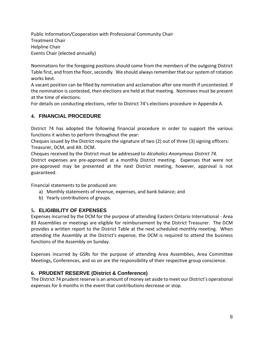Public Information/Cooperation with Professional Community Chair Treatment Chair Helpline Chair Events Chair (elected annually)

Nominations for the foregoing positions should come from the members of the outgoing District Table first, and from the floor, secondly. We should always remember that our system of rotation works best.

A vacant position can be filled by nomination and acclamation after one month if uncontested. If the nomination is contested, then elections are held at that meeting. Nominees must be present at the time of elections.

For details on conducting elections, refer to District 74's elections procedure in Appendix A.

# **4. FINANCIAL PROCEDURE**

District 74 has adopted the following financial procedure in order to support the various functions it wishes to perform throughout the year:

Cheques issued by the District require the signature of two (2) out of three (3) signing officers: Treasurer, DCM, and Alt. DCM.

Cheques received by the District must be addressed to *Alcoholics Anonymous District 74.*

District expenses are pre-approved at a monthly District meeting. Expenses that were not pre-approved may be presented at the next District meeting, however, approval is not guaranteed.

Financial statements to be produced are:

- a) Monthly statements of revenue, expenses, and bank balance; and
- b) Yearly contributions of groups.

# **5. ELIGIBILITY OF EXPENSES**

Expenses incurred by the DCM for the purpose of attending Eastern Ontario International - Area 83 Assemblies or meetings are eligible for reimbursement by the District Treasurer. The DCM provides a written report to the District Table at the next scheduled monthly meeting. When attending the Assembly at the District's expense, the DCM is required to attend the business functions of the Assembly on Sunday.

Expenses incurred by GSRs for the purpose of attending Area Assemblies, Area Committee Meetings, Conferences, and so on are the responsibility of their respective group conscience.

# **6. PRUDENT RESERVE (District & Conference)**

The District 74 prudent reserve is an amount of money set aside to meet our District's operational expenses for 6 months in the event that contributions decrease or stop.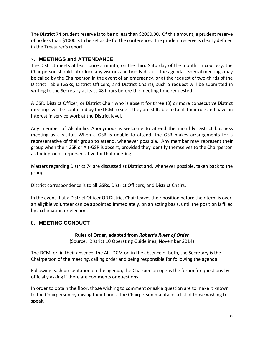The District 74 prudent reserve is to be no less than \$2000.00. Of this amount, a prudent reserve of no less than \$1000 is to be set aside for the conference. The prudent reserve is clearly defined in the Treasurer's report.

# **7. MEETINGS and ATTENDANCE**

The District meets at least once a month, on the third Saturday of the month. In courtesy, the Chairperson should introduce any visitors and briefly discuss the agenda. Special meetings may be called by the Chairperson in the event of an emergency, or at the request of two-thirds of the District Table (GSRs, District Officers, and District Chairs); such a request will be submitted in writing to the Secretary at least 48 hours before the meeting time requested.

A GSR, District Officer, or District Chair who is absent for three (3) or more consecutive District meetings will be contacted by the DCM to see if they are still able to fulfill their role and have an interest in service work at the District level.

Any member of Alcoholics Anonymous is welcome to attend the monthly District business meeting as a visitor. When a GSR is unable to attend, the GSR makes arrangements for a representative of their group to attend, whenever possible. Any member may represent their group when their GSR or Alt-GSR is absent, provided they identify themselves to the Chairperson as their group's representative for that meeting.

Matters regarding District 74 are discussed at District and, whenever possible, taken back to the groups.

District correspondence is to all GSRs, District Officers, and District Chairs.

In the event that a District Officer OR District Chair leaves their position before their term is over, an eligible volunteer can be appointed immediately, on an acting basis, until the position is filled by acclamation or election.

# **8. MEETING CONDUCT**

# **Rules of Order, adapted from** *Robert's Rules of Order*

(Source: District 10 Operating Guidelines, November 2014)

The DCM, or, in their absence, the Alt. DCM or, in the absence of both, the Secretary is the Chairperson of the meeting, calling order and being responsible for following the agenda.

Following each presentation on the agenda, the Chairperson opens the forum for questions by officially asking if there are comments or questions.

In order to obtain the floor, those wishing to comment or ask a question are to make it known to the Chairperson by raising their hands. The Chairperson maintains a list of those wishing to speak.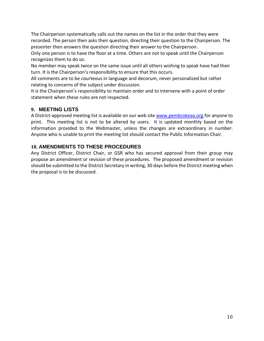The Chairperson systematically calls out the names on the list in the order that they were recorded. The person then asks their question, directing their question to the Chairperson. The presenter then answers the question directing their answer to the Chairperson.

Only one person is to have the floor at a time. Others are not to speak until the Chairperson recognizes them to do so.

No member may speak twice on the same issue until all others wishing to speak have had their turn. It is the Chairperson's responsibility to ensure that this occurs.

All comments are to be courteous in language and decorum, never personalized but rather relating to concerns of the subject under discussion.

It is the Chairperson's responsibility to maintain order and to intervene with a point of order statement when these rules are not respected.

# **9. MEETING LISTS**

A District-approved meeting list is available on our web site [www.pembrokeaa.org](http://www.pembrokeaa.org/) for anyone to print. This meeting list is not to be altered by users. It is updated monthly based on the information provided to the Webmaster, unless the changes are extraordinary in number. Anyone who is unable to print the meeting list should contact the Public Information Chair.

# **10. AMENDMENTS TO THESE PROCEDURES**

Any District Officer, District Chair, or GSR who has secured approval from their group may propose an amendment or revision of these procedures. The proposed amendment or revision should be submitted to the District Secretary in writing, 30 days before the District meeting when the proposal is to be discussed.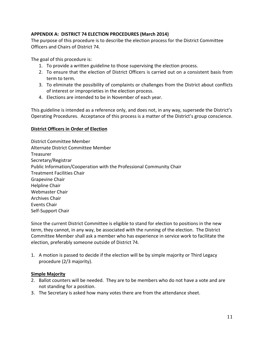# **APPENDIX A: DISTRICT 74 ELECTION PROCEDURES (March 2014)**

The purpose of this procedure is to describe the election process for the District Committee Officers and Chairs of District 74.

The goal of this procedure is:

- 1. To provide a written guideline to those supervising the election process.
- 2. To ensure that the election of District Officers is carried out on a consistent basis from term to term.
- 3. To eliminate the possibility of complaints or challenges from the District about conflicts of interest or improprieties in the election process.
- 4. Elections are intended to be in November of each year.

This guideline is intended as a reference only, and does not, in any way, supersede the District's Operating Procedures. Acceptance of this process is a matter of the District's group conscience.

# **District Officers in Order of Election**

District Committee Member Alternate District Committee Member Treasurer Secretary/Registrar Public Information/Cooperation with the Professional Community Chair Treatment Facilities Chair Grapevine Chair Helpline Chair Webmaster Chair Archives Chair Events Chair Self-Support Chair

Since the current District Committee is eligible to stand for election to positions in the new term, they cannot, in any way, be associated with the running of the election. The District Committee Member shall ask a member who has experience in service work to facilitate the election, preferably someone outside of District 74.

1. A motion is passed to decide if the election will be by simple majority or Third Legacy procedure (2/3 majority).

# **Simple Majority**

- 2. Ballot counters will be needed. They are to be members who do not have a vote and are not standing for a position.
- 3. The Secretary is asked how many votes there are from the attendance sheet.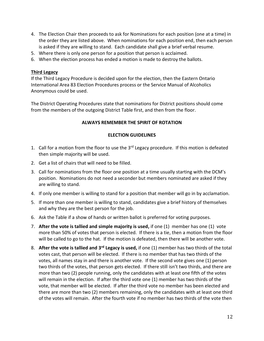- 4. The Election Chair then proceeds to ask for Nominations for each position (one at a time) in the order they are listed above. When nominations for each position end, then each person is asked if they are willing to stand. Each candidate shall give a brief verbal resume.
- 5. Where there is only one person for a position that person is acclaimed.
- 6. When the election process has ended a motion is made to destroy the ballots.

# **Third Legacy**

If the Third Legacy Procedure is decided upon for the election, then the Eastern Ontario International Area 83 Election Procedures process or the Service Manual of Alcoholics Anonymous could be used.

The District Operating Procedures state that nominations for District positions should come from the members of the outgoing District Table first, and then from the floor.

# **ALWAYS REMEMBER THE SPIRIT OF ROTATION**

# **ELECTION GUIDELINES**

- 1. Call for a motion from the floor to use the  $3<sup>rd</sup>$  Legacy procedure. If this motion is defeated then simple majority will be used.
- 2. Get a list of chairs that will need to be filled.
- 3. Call for nominations from the floor one position at a time usually starting with the DCM's position. Nominations do not need a seconder but members nominated are asked if they are willing to stand.
- 4. If only one member is willing to stand for a position that member will go in by acclamation.
- 5. If more than one member is willing to stand, candidates give a brief history of themselves and why they are the best person for the job.
- 6. Ask the Table if a show of hands or written ballot is preferred for voting purposes.
- 7. **After the vote is tallied and simple majority is used,** if one (1) member has one (1) vote more than 50% of votes that person is elected. If there is a tie, then a motion from the floor will be called to go to the hat. If the motion is defeated, then there will be another vote.
- 8. **After the vote is tallied and 3rd Legacy is used,** if one (1) member has two thirds of the total votes cast, that person will be elected. If there is no member that has two thirds of the votes, all names stay in and there is another vote. If the second vote gives one (1) person two thirds of the votes, that person gets elected. If there still isn't two thirds, and there are more than two (2) people running, only the candidates with at least one fifth of the votes will remain in the election. If after the third vote one (1) member has two thirds of the vote, that member will be elected. If after the third vote no member has been elected and there are more than two (2) members remaining, only the candidates with at least one third of the votes will remain. After the fourth vote if no member has two thirds of the vote then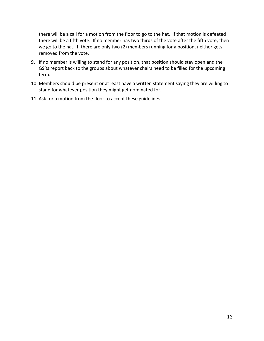there will be a call for a motion from the floor to go to the hat. If that motion is defeated there will be a fifth vote. If no member has two thirds of the vote after the fifth vote, then we go to the hat. If there are only two (2) members running for a position, neither gets removed from the vote.

- 9. If no member is willing to stand for any position, that position should stay open and the GSRs report back to the groups about whatever chairs need to be filled for the upcoming term.
- 10. Members should be present or at least have a written statement saying they are willing to stand for whatever position they might get nominated for.
- 11. Ask for a motion from the floor to accept these guidelines.